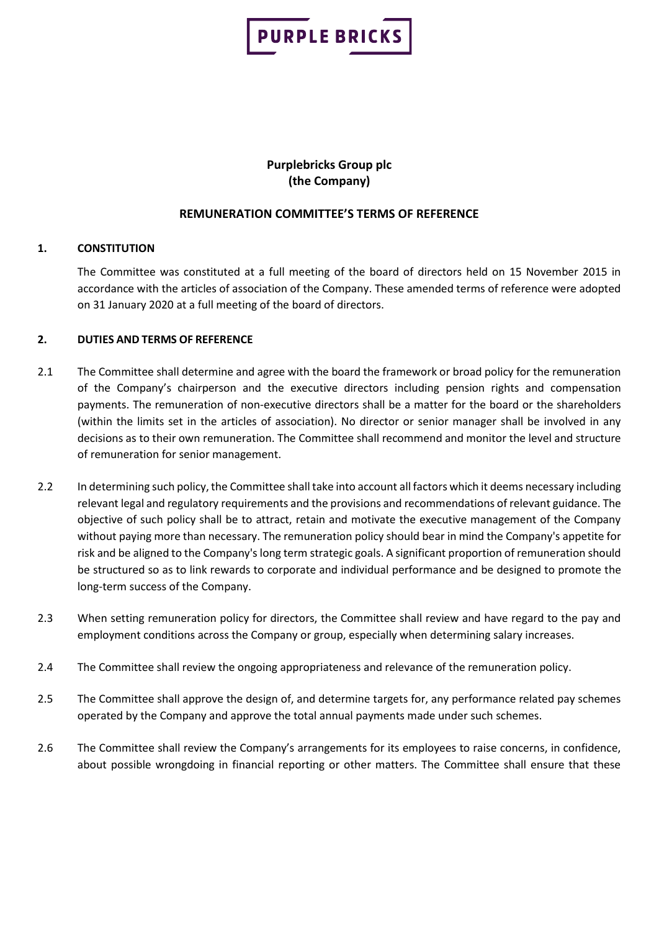

# **Purplebricks Group plc (the Company)**

# **REMUNERATION COMMITTEE'S TERMS OF REFERENCE**

## **1. CONSTITUTION**

The Committee was constituted at a full meeting of the board of directors held on 15 November 2015 in accordance with the articles of association of the Company. These amended terms of reference were adopted on 31 January 2020 at a full meeting of the board of directors.

## **2. DUTIES AND TERMS OF REFERENCE**

- 2.1 The Committee shall determine and agree with the board the framework or broad policy for the remuneration of the Company's chairperson and the executive directors including pension rights and compensation payments. The remuneration of non-executive directors shall be a matter for the board or the shareholders (within the limits set in the articles of association). No director or senior manager shall be involved in any decisions as to their own remuneration. The Committee shall recommend and monitor the level and structure of remuneration for senior management.
- 2.2 In determining such policy, the Committee shall take into account all factors which it deems necessary including relevant legal and regulatory requirements and the provisions and recommendations of relevant guidance. The objective of such policy shall be to attract, retain and motivate the executive management of the Company without paying more than necessary. The remuneration policy should bear in mind the Company's appetite for risk and be aligned to the Company's long term strategic goals. A significant proportion of remuneration should be structured so as to link rewards to corporate and individual performance and be designed to promote the long-term success of the Company.
- 2.3 When setting remuneration policy for directors, the Committee shall review and have regard to the pay and employment conditions across the Company or group, especially when determining salary increases.
- 2.4 The Committee shall review the ongoing appropriateness and relevance of the remuneration policy.
- 2.5 The Committee shall approve the design of, and determine targets for, any performance related pay schemes operated by the Company and approve the total annual payments made under such schemes.
- 2.6 The Committee shall review the Company's arrangements for its employees to raise concerns, in confidence, about possible wrongdoing in financial reporting or other matters. The Committee shall ensure that these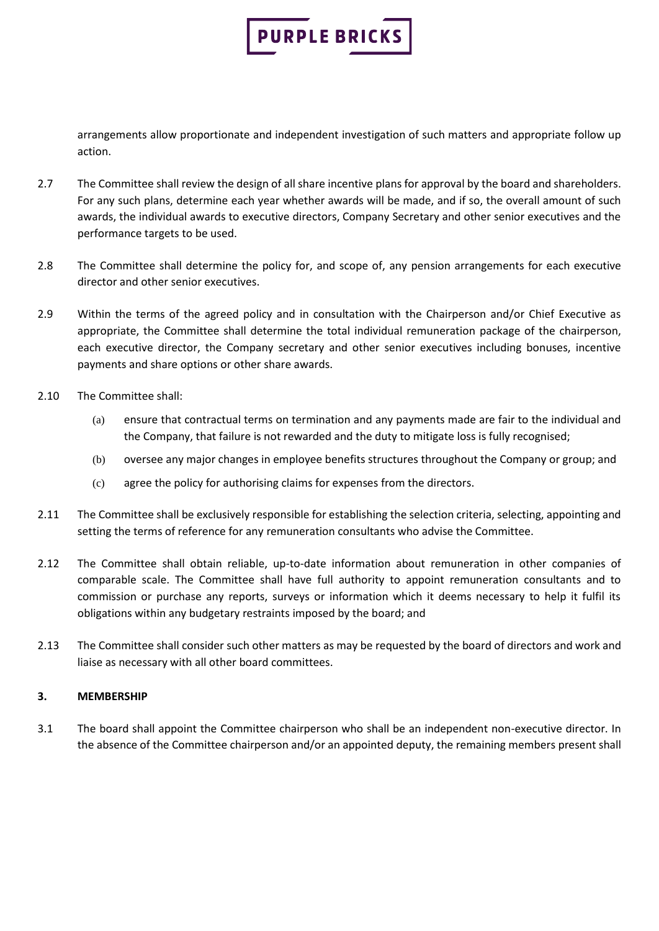

arrangements allow proportionate and independent investigation of such matters and appropriate follow up action.

- 2.7 The Committee shall review the design of all share incentive plans for approval by the board and shareholders. For any such plans, determine each year whether awards will be made, and if so, the overall amount of such awards, the individual awards to executive directors, Company Secretary and other senior executives and the performance targets to be used.
- 2.8 The Committee shall determine the policy for, and scope of, any pension arrangements for each executive director and other senior executives.
- 2.9 Within the terms of the agreed policy and in consultation with the Chairperson and/or Chief Executive as appropriate, the Committee shall determine the total individual remuneration package of the chairperson, each executive director, the Company secretary and other senior executives including bonuses, incentive payments and share options or other share awards.
- 2.10 The Committee shall:
	- (a) ensure that contractual terms on termination and any payments made are fair to the individual and the Company, that failure is not rewarded and the duty to mitigate loss is fully recognised;
	- (b) oversee any major changes in employee benefits structures throughout the Company or group; and
	- (c) agree the policy for authorising claims for expenses from the directors.
- 2.11 The Committee shall be exclusively responsible for establishing the selection criteria, selecting, appointing and setting the terms of reference for any remuneration consultants who advise the Committee.
- 2.12 The Committee shall obtain reliable, up-to-date information about remuneration in other companies of comparable scale. The Committee shall have full authority to appoint remuneration consultants and to commission or purchase any reports, surveys or information which it deems necessary to help it fulfil its obligations within any budgetary restraints imposed by the board; and
- 2.13 The Committee shall consider such other matters as may be requested by the board of directors and work and liaise as necessary with all other board committees.

# **3. MEMBERSHIP**

3.1 The board shall appoint the Committee chairperson who shall be an independent non-executive director. In the absence of the Committee chairperson and/or an appointed deputy, the remaining members present shall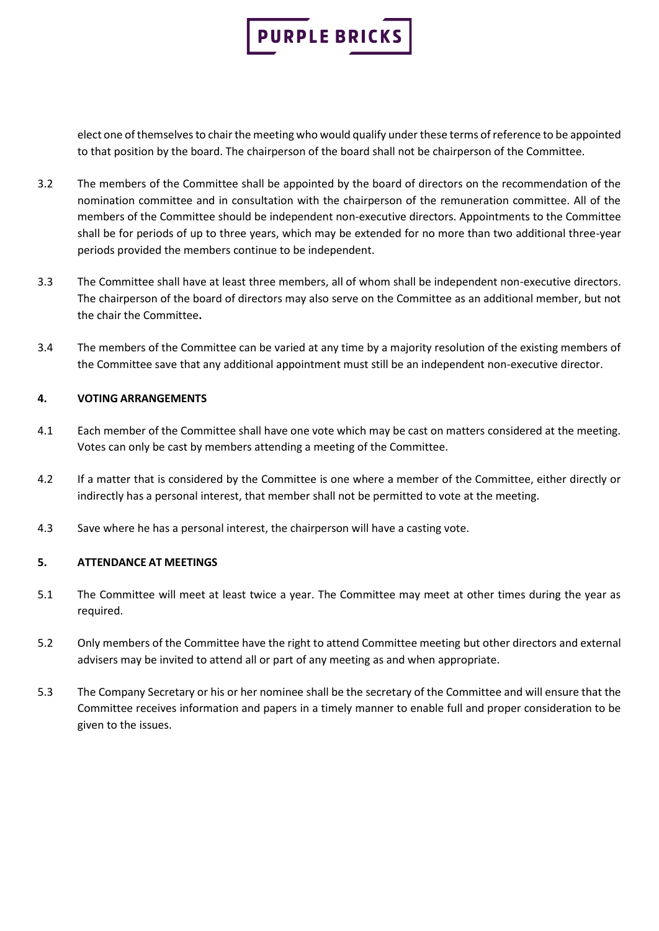

elect one of themselves to chair the meeting who would qualify under these terms of reference to be appointed to that position by the board. The chairperson of the board shall not be chairperson of the Committee.

- 3.2 The members of the Committee shall be appointed by the board of directors on the recommendation of the nomination committee and in consultation with the chairperson of the remuneration committee. All of the members of the Committee should be independent non-executive directors. Appointments to the Committee shall be for periods of up to three years, which may be extended for no more than two additional three-year periods provided the members continue to be independent.
- 3.3 The Committee shall have at least three members, all of whom shall be independent non-executive directors. The chairperson of the board of directors may also serve on the Committee as an additional member, but not the chair the Committee**.**
- 3.4 The members of the Committee can be varied at any time by a majority resolution of the existing members of the Committee save that any additional appointment must still be an independent non-executive director.

## **4. VOTING ARRANGEMENTS**

- 4.1 Each member of the Committee shall have one vote which may be cast on matters considered at the meeting. Votes can only be cast by members attending a meeting of the Committee.
- 4.2 If a matter that is considered by the Committee is one where a member of the Committee, either directly or indirectly has a personal interest, that member shall not be permitted to vote at the meeting.
- 4.3 Save where he has a personal interest, the chairperson will have a casting vote.

#### **5. ATTENDANCE AT MEETINGS**

- 5.1 The Committee will meet at least twice a year. The Committee may meet at other times during the year as required.
- 5.2 Only members of the Committee have the right to attend Committee meeting but other directors and external advisers may be invited to attend all or part of any meeting as and when appropriate.
- 5.3 The Company Secretary or his or her nominee shall be the secretary of the Committee and will ensure that the Committee receives information and papers in a timely manner to enable full and proper consideration to be given to the issues.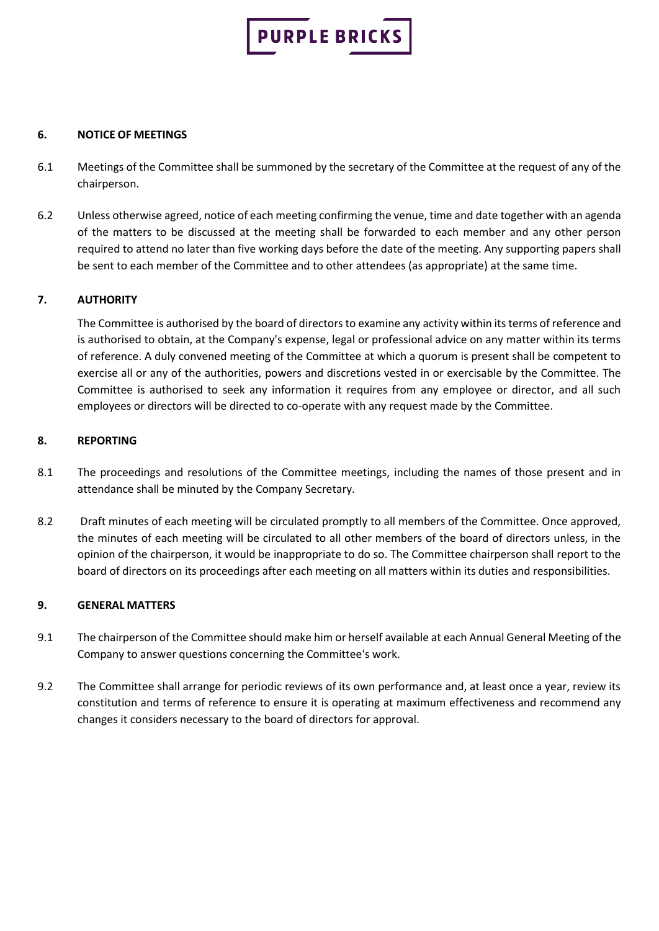

#### **6. NOTICE OF MEETINGS**

- 6.1 Meetings of the Committee shall be summoned by the secretary of the Committee at the request of any of the chairperson.
- 6.2 Unless otherwise agreed, notice of each meeting confirming the venue, time and date together with an agenda of the matters to be discussed at the meeting shall be forwarded to each member and any other person required to attend no later than five working days before the date of the meeting. Any supporting papers shall be sent to each member of the Committee and to other attendees (as appropriate) at the same time.

# **7. AUTHORITY**

The Committee is authorised by the board of directors to examine any activity within its terms of reference and is authorised to obtain, at the Company's expense, legal or professional advice on any matter within its terms of reference. A duly convened meeting of the Committee at which a quorum is present shall be competent to exercise all or any of the authorities, powers and discretions vested in or exercisable by the Committee. The Committee is authorised to seek any information it requires from any employee or director, and all such employees or directors will be directed to co-operate with any request made by the Committee.

## **8. REPORTING**

- 8.1 The proceedings and resolutions of the Committee meetings, including the names of those present and in attendance shall be minuted by the Company Secretary.
- 8.2 Draft minutes of each meeting will be circulated promptly to all members of the Committee. Once approved, the minutes of each meeting will be circulated to all other members of the board of directors unless, in the opinion of the chairperson, it would be inappropriate to do so. The Committee chairperson shall report to the board of directors on its proceedings after each meeting on all matters within its duties and responsibilities.

#### **9. GENERAL MATTERS**

- 9.1 The chairperson of the Committee should make him or herself available at each Annual General Meeting of the Company to answer questions concerning the Committee's work.
- 9.2 The Committee shall arrange for periodic reviews of its own performance and, at least once a year, review its constitution and terms of reference to ensure it is operating at maximum effectiveness and recommend any changes it considers necessary to the board of directors for approval.